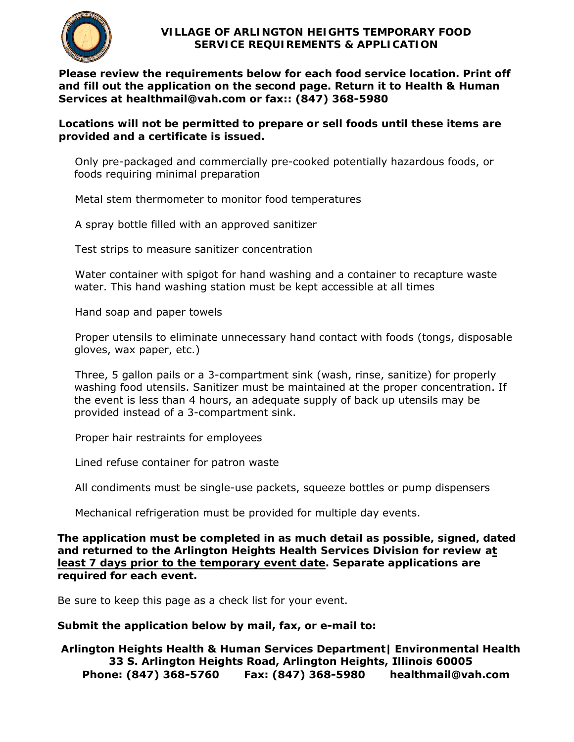

**Please review the requirements below for each food service location. Print off and fill out the application on the second page. Return it to Health & Human Services at healthmail@vah.com or fax:: (847) 368-5980**

**Locations will not be permitted to prepare or sell foods until these items are provided and a certificate is issued.** 

 Only pre-packaged and commercially pre-cooked potentially hazardous foods, or foods requiring minimal preparation

Metal stem thermometer to monitor food temperatures

A spray bottle filled with an approved sanitizer

Test strips to measure sanitizer concentration

 Water container with spigot for hand washing and a container to recapture waste water. This hand washing station must be kept accessible at all times

Hand soap and paper towels

 Proper utensils to eliminate unnecessary hand contact with foods (tongs, disposable gloves, wax paper, etc.)

 Three, 5 gallon pails or a 3-compartment sink (wash, rinse, sanitize) for properly washing food utensils. Sanitizer must be maintained at the proper concentration. If the event is less than 4 hours, an adequate supply of back up utensils may be provided instead of a 3-compartment sink.

Proper hair restraints for employees

Lined refuse container for patron waste

All condiments must be single-use packets, squeeze bottles or pump dispensers

Mechanical refrigeration must be provided for multiple day events.

**The application must be completed in as much detail as possible, signed, dated and returned to the Arlington Heights Health Services Division for review at least 7 days prior to the temporary event date. Separate applications are required for each event.** 

Be sure to keep this page as a check list for your event.

## **Submit the application below by mail, fax, or e-mail to:**

**Arlington Heights Health & Human Services Department| Environmental Health 33 S. Arlington Heights Road, Arlington Heights, Illinois 60005 Phone: (847) 368-5760 Fax: (847) 368-5980 healthmail@vah.com**